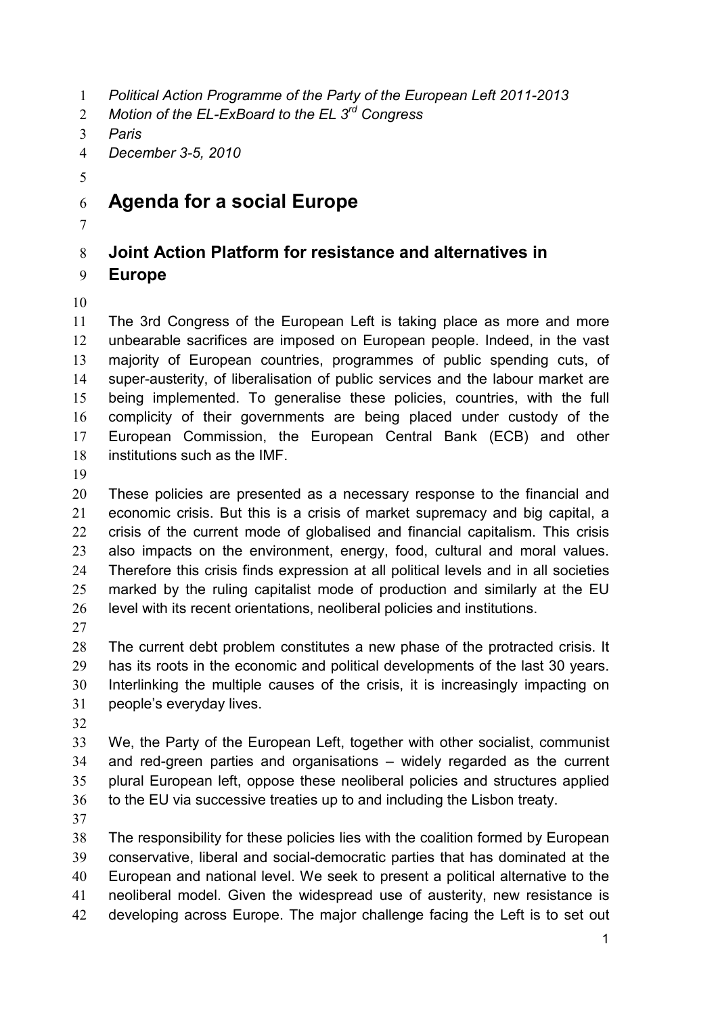*Political Action Programme of the Party of the European Left 2011-2013* 

2 Motion of the EL-ExBoard to the EL 3<sup>rd</sup> Congress

*Paris* 

*December 3-5, 2010* 

## **Agenda for a social Europe**

# **Joint Action Platform for resistance and alternatives in**

**Europe** 

The 3rd Congress of the European Left is taking place as more and more unbearable sacrifices are imposed on European people. Indeed, in the vast majority of European countries, programmes of public spending cuts, of super-austerity, of liberalisation of public services and the labour market are being implemented. To generalise these policies, countries, with the full complicity of their governments are being placed under custody of the European Commission, the European Central Bank (ECB) and other institutions such as the IMF.

These policies are presented as a necessary response to the financial and economic crisis. But this is a crisis of market supremacy and big capital, a crisis of the current mode of globalised and financial capitalism. This crisis also impacts on the environment, energy, food, cultural and moral values. Therefore this crisis finds expression at all political levels and in all societies marked by the ruling capitalist mode of production and similarly at the EU level with its recent orientations, neoliberal policies and institutions.

The current debt problem constitutes a new phase of the protracted crisis. It has its roots in the economic and political developments of the last 30 years. Interlinking the multiple causes of the crisis, it is increasingly impacting on people's everyday lives.

We, the Party of the European Left, together with other socialist, communist and red-green parties and organisations – widely regarded as the current plural European left, oppose these neoliberal policies and structures applied to the EU via successive treaties up to and including the Lisbon treaty.

The responsibility for these policies lies with the coalition formed by European conservative, liberal and social-democratic parties that has dominated at the European and national level. We seek to present a political alternative to the neoliberal model. Given the widespread use of austerity, new resistance is developing across Europe. The major challenge facing the Left is to set out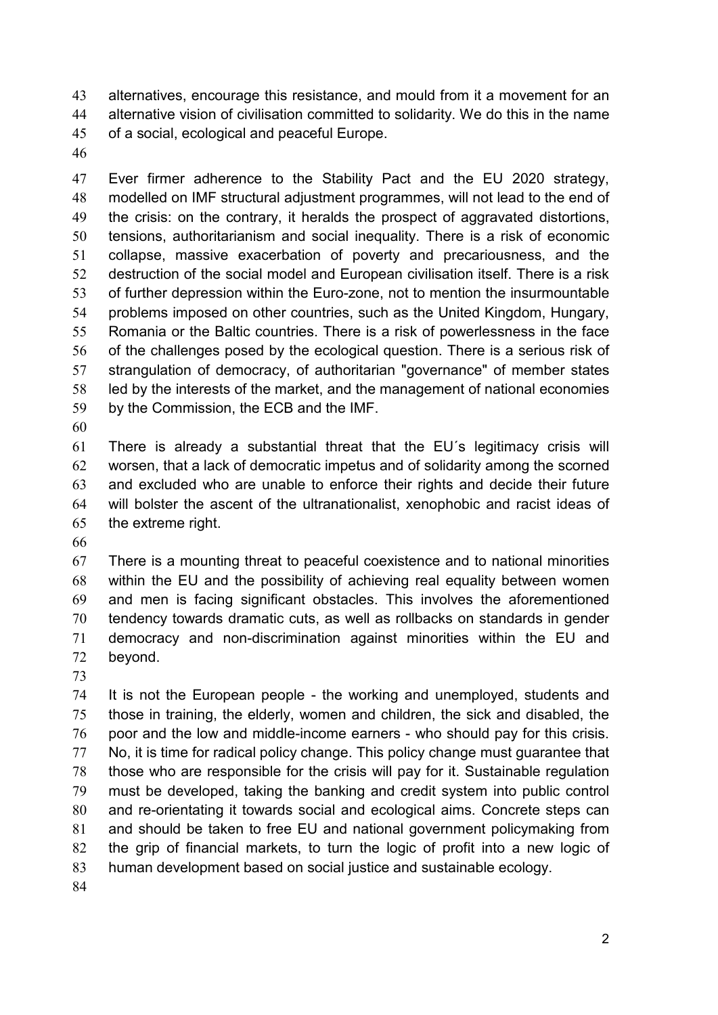alternatives, encourage this resistance, and mould from it a movement for an alternative vision of civilisation committed to solidarity. We do this in the name of a social, ecological and peaceful Europe.

Ever firmer adherence to the Stability Pact and the EU 2020 strategy, modelled on IMF structural adjustment programmes, will not lead to the end of the crisis: on the contrary, it heralds the prospect of aggravated distortions, tensions, authoritarianism and social inequality. There is a risk of economic collapse, massive exacerbation of poverty and precariousness, and the destruction of the social model and European civilisation itself. There is a risk of further depression within the Euro-zone, not to mention the insurmountable problems imposed on other countries, such as the United Kingdom, Hungary, Romania or the Baltic countries. There is a risk of powerlessness in the face of the challenges posed by the ecological question. There is a serious risk of strangulation of democracy, of authoritarian "governance" of member states led by the interests of the market, and the management of national economies by the Commission, the ECB and the IMF.

There is already a substantial threat that the EU´s legitimacy crisis will worsen, that a lack of democratic impetus and of solidarity among the scorned and excluded who are unable to enforce their rights and decide their future will bolster the ascent of the ultranationalist, xenophobic and racist ideas of the extreme right.

There is a mounting threat to peaceful coexistence and to national minorities within the EU and the possibility of achieving real equality between women and men is facing significant obstacles. This involves the aforementioned tendency towards dramatic cuts, as well as rollbacks on standards in gender democracy and non-discrimination against minorities within the EU and beyond.

It is not the European people - the working and unemployed, students and those in training, the elderly, women and children, the sick and disabled, the poor and the low and middle-income earners - who should pay for this crisis. No, it is time for radical policy change. This policy change must guarantee that those who are responsible for the crisis will pay for it. Sustainable regulation must be developed, taking the banking and credit system into public control and re-orientating it towards social and ecological aims. Concrete steps can and should be taken to free EU and national government policymaking from the grip of financial markets, to turn the logic of profit into a new logic of human development based on social justice and sustainable ecology.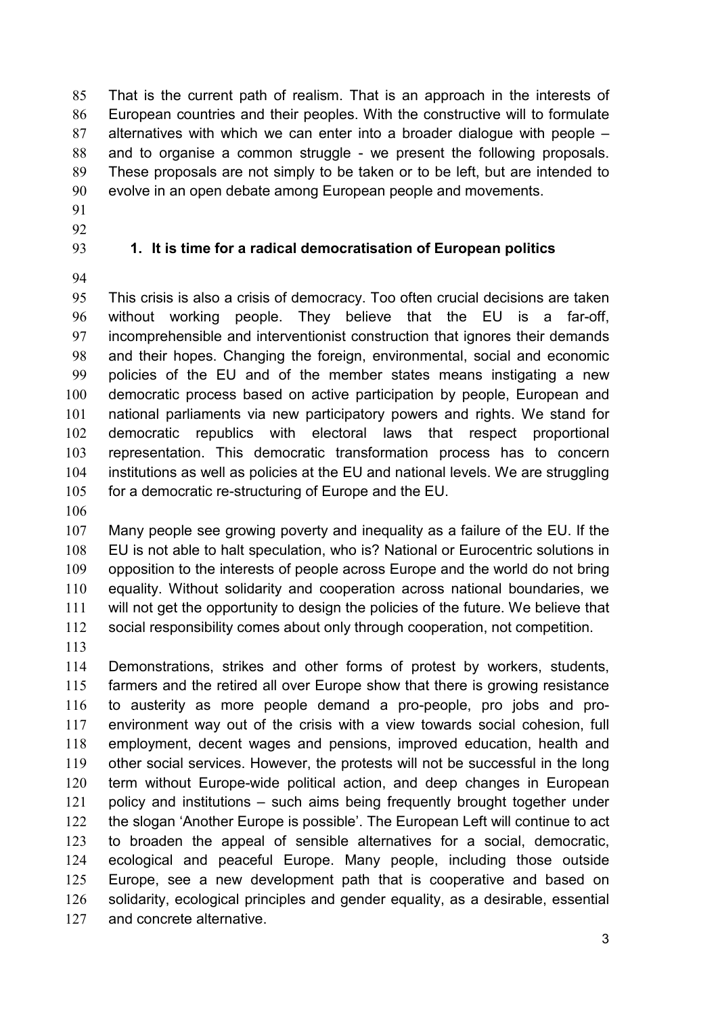That is the current path of realism. That is an approach in the interests of European countries and their peoples. With the constructive will to formulate alternatives with which we can enter into a broader dialogue with people – and to organise a common struggle - we present the following proposals. These proposals are not simply to be taken or to be left, but are intended to evolve in an open debate among European people and movements.

- 
- 

#### **1. It is time for a radical democratisation of European politics**

This crisis is also a crisis of democracy. Too often crucial decisions are taken without working people. They believe that the EU is a far-off, incomprehensible and interventionist construction that ignores their demands and their hopes. Changing the foreign, environmental, social and economic policies of the EU and of the member states means instigating a new democratic process based on active participation by people, European and national parliaments via new participatory powers and rights. We stand for democratic republics with electoral laws that respect proportional representation. This democratic transformation process has to concern institutions as well as policies at the EU and national levels. We are struggling for a democratic re-structuring of Europe and the EU.

Many people see growing poverty and inequality as a failure of the EU. If the EU is not able to halt speculation, who is? National or Eurocentric solutions in opposition to the interests of people across Europe and the world do not bring equality. Without solidarity and cooperation across national boundaries, we will not get the opportunity to design the policies of the future. We believe that social responsibility comes about only through cooperation, not competition.

Demonstrations, strikes and other forms of protest by workers, students, farmers and the retired all over Europe show that there is growing resistance to austerity as more people demand a pro-people, pro jobs and pro-environment way out of the crisis with a view towards social cohesion, full employment, decent wages and pensions, improved education, health and other social services. However, the protests will not be successful in the long term without Europe-wide political action, and deep changes in European policy and institutions – such aims being frequently brought together under the slogan 'Another Europe is possible'. The European Left will continue to act to broaden the appeal of sensible alternatives for a social, democratic, ecological and peaceful Europe. Many people, including those outside Europe, see a new development path that is cooperative and based on solidarity, ecological principles and gender equality, as a desirable, essential and concrete alternative.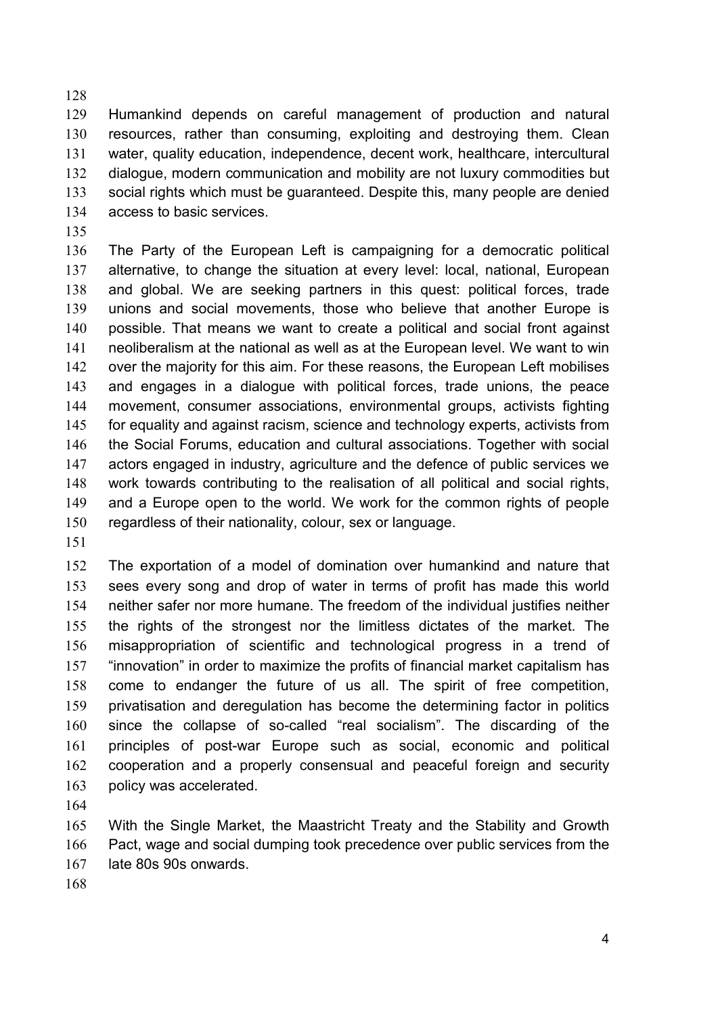Humankind depends on careful management of production and natural resources, rather than consuming, exploiting and destroying them. Clean water, quality education, independence, decent work, healthcare, intercultural dialogue, modern communication and mobility are not luxury commodities but social rights which must be guaranteed. Despite this, many people are denied access to basic services.

The Party of the European Left is campaigning for a democratic political alternative, to change the situation at every level: local, national, European and global. We are seeking partners in this quest: political forces, trade unions and social movements, those who believe that another Europe is possible. That means we want to create a political and social front against neoliberalism at the national as well as at the European level. We want to win over the majority for this aim. For these reasons, the European Left mobilises and engages in a dialogue with political forces, trade unions, the peace movement, consumer associations, environmental groups, activists fighting for equality and against racism, science and technology experts, activists from the Social Forums, education and cultural associations. Together with social actors engaged in industry, agriculture and the defence of public services we work towards contributing to the realisation of all political and social rights, and a Europe open to the world. We work for the common rights of people regardless of their nationality, colour, sex or language.

The exportation of a model of domination over humankind and nature that sees every song and drop of water in terms of profit has made this world neither safer nor more humane. The freedom of the individual justifies neither the rights of the strongest nor the limitless dictates of the market. The misappropriation of scientific and technological progress in a trend of "innovation" in order to maximize the profits of financial market capitalism has come to endanger the future of us all. The spirit of free competition, privatisation and deregulation has become the determining factor in politics since the collapse of so-called "real socialism". The discarding of the principles of post-war Europe such as social, economic and political cooperation and a properly consensual and peaceful foreign and security policy was accelerated.

With the Single Market, the Maastricht Treaty and the Stability and Growth Pact, wage and social dumping took precedence over public services from the late 80s 90s onwards.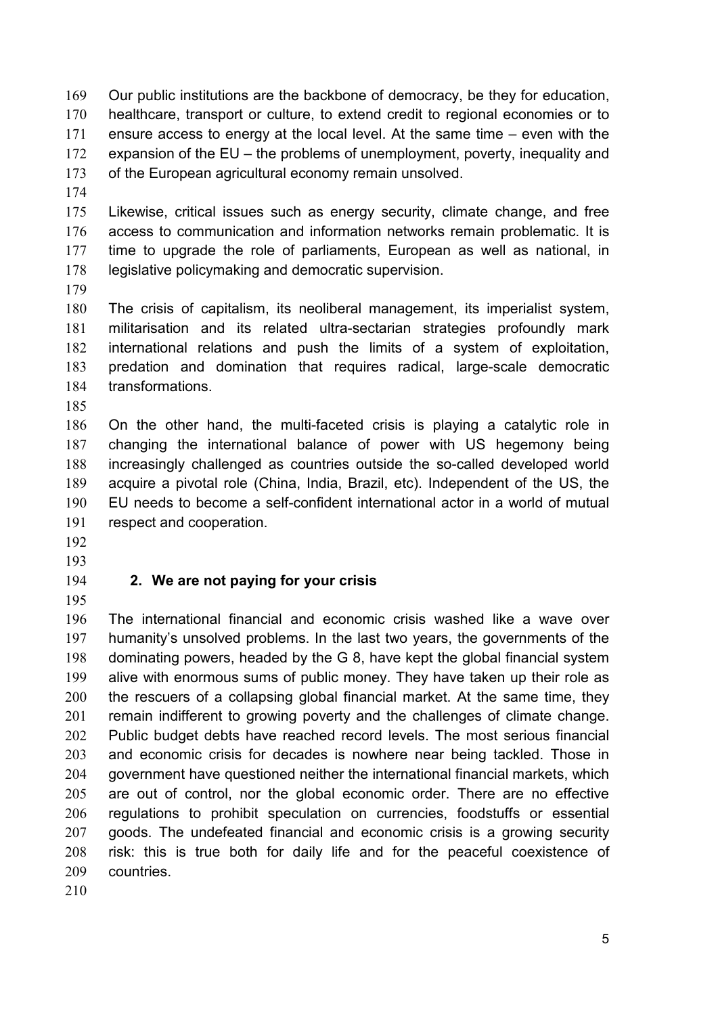Our public institutions are the backbone of democracy, be they for education, healthcare, transport or culture, to extend credit to regional economies or to ensure access to energy at the local level. At the same time – even with the expansion of the EU – the problems of unemployment, poverty, inequality and of the European agricultural economy remain unsolved.

Likewise, critical issues such as energy security, climate change, and free access to communication and information networks remain problematic. It is time to upgrade the role of parliaments, European as well as national, in legislative policymaking and democratic supervision.

The crisis of capitalism, its neoliberal management, its imperialist system, militarisation and its related ultra-sectarian strategies profoundly mark international relations and push the limits of a system of exploitation, predation and domination that requires radical, large-scale democratic transformations.

On the other hand, the multi-faceted crisis is playing a catalytic role in changing the international balance of power with US hegemony being increasingly challenged as countries outside the so-called developed world acquire a pivotal role (China, India, Brazil, etc). Independent of the US, the EU needs to become a self-confident international actor in a world of mutual respect and cooperation.

- 
- 

## **2. We are not paying for your crisis**

The international financial and economic crisis washed like a wave over humanity's unsolved problems. In the last two years, the governments of the dominating powers, headed by the G 8, have kept the global financial system alive with enormous sums of public money. They have taken up their role as 200 the rescuers of a collapsing global financial market. At the same time, they remain indifferent to growing poverty and the challenges of climate change. Public budget debts have reached record levels. The most serious financial and economic crisis for decades is nowhere near being tackled. Those in 204 government have questioned neither the international financial markets, which are out of control, nor the global economic order. There are no effective regulations to prohibit speculation on currencies, foodstuffs or essential goods. The undefeated financial and economic crisis is a growing security risk: this is true both for daily life and for the peaceful coexistence of countries.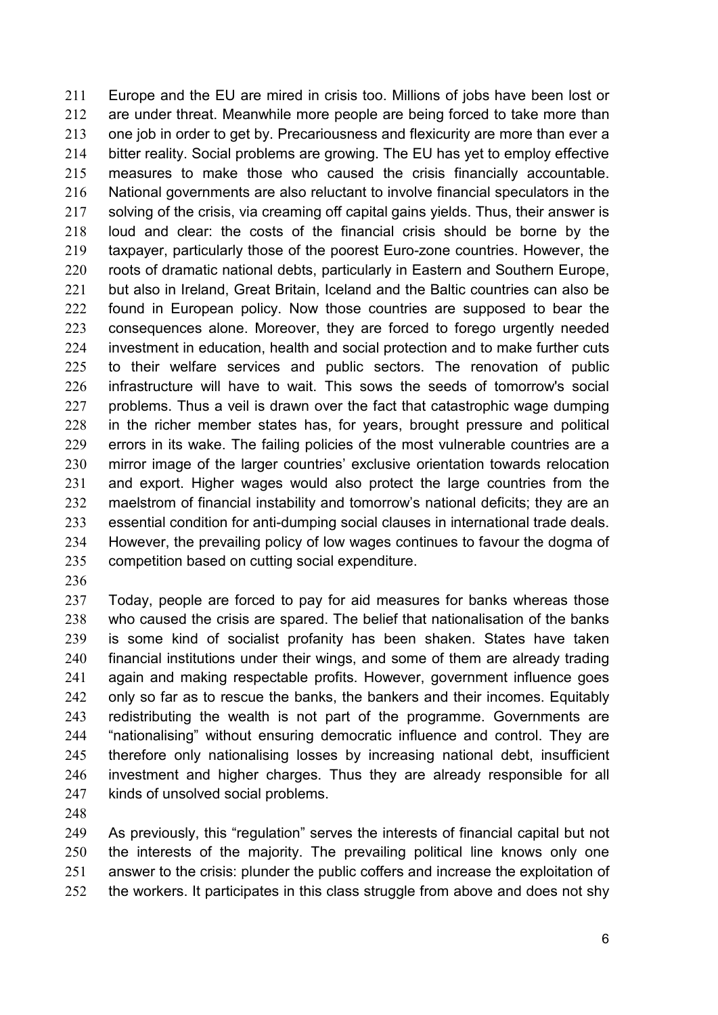Europe and the EU are mired in crisis too. Millions of jobs have been lost or are under threat. Meanwhile more people are being forced to take more than one job in order to get by. Precariousness and flexicurity are more than ever a bitter reality. Social problems are growing. The EU has yet to employ effective measures to make those who caused the crisis financially accountable. National governments are also reluctant to involve financial speculators in the solving of the crisis, via creaming off capital gains yields. Thus, their answer is loud and clear: the costs of the financial crisis should be borne by the taxpayer, particularly those of the poorest Euro-zone countries. However, the roots of dramatic national debts, particularly in Eastern and Southern Europe, but also in Ireland, Great Britain, Iceland and the Baltic countries can also be 222 found in European policy. Now those countries are supposed to bear the consequences alone. Moreover, they are forced to forego urgently needed investment in education, health and social protection and to make further cuts to their welfare services and public sectors. The renovation of public infrastructure will have to wait. This sows the seeds of tomorrow's social problems. Thus a veil is drawn over the fact that catastrophic wage dumping in the richer member states has, for years, brought pressure and political errors in its wake. The failing policies of the most vulnerable countries are a mirror image of the larger countries' exclusive orientation towards relocation and export. Higher wages would also protect the large countries from the maelstrom of financial instability and tomorrow's national deficits; they are an essential condition for anti-dumping social clauses in international trade deals. However, the prevailing policy of low wages continues to favour the dogma of competition based on cutting social expenditure.

Today, people are forced to pay for aid measures for banks whereas those who caused the crisis are spared. The belief that nationalisation of the banks is some kind of socialist profanity has been shaken. States have taken financial institutions under their wings, and some of them are already trading again and making respectable profits. However, government influence goes 242 only so far as to rescue the banks, the bankers and their incomes. Equitably redistributing the wealth is not part of the programme. Governments are "nationalising" without ensuring democratic influence and control. They are therefore only nationalising losses by increasing national debt, insufficient investment and higher charges. Thus they are already responsible for all kinds of unsolved social problems.

As previously, this "regulation" serves the interests of financial capital but not the interests of the majority. The prevailing political line knows only one answer to the crisis: plunder the public coffers and increase the exploitation of 252 the workers. It participates in this class struggle from above and does not shy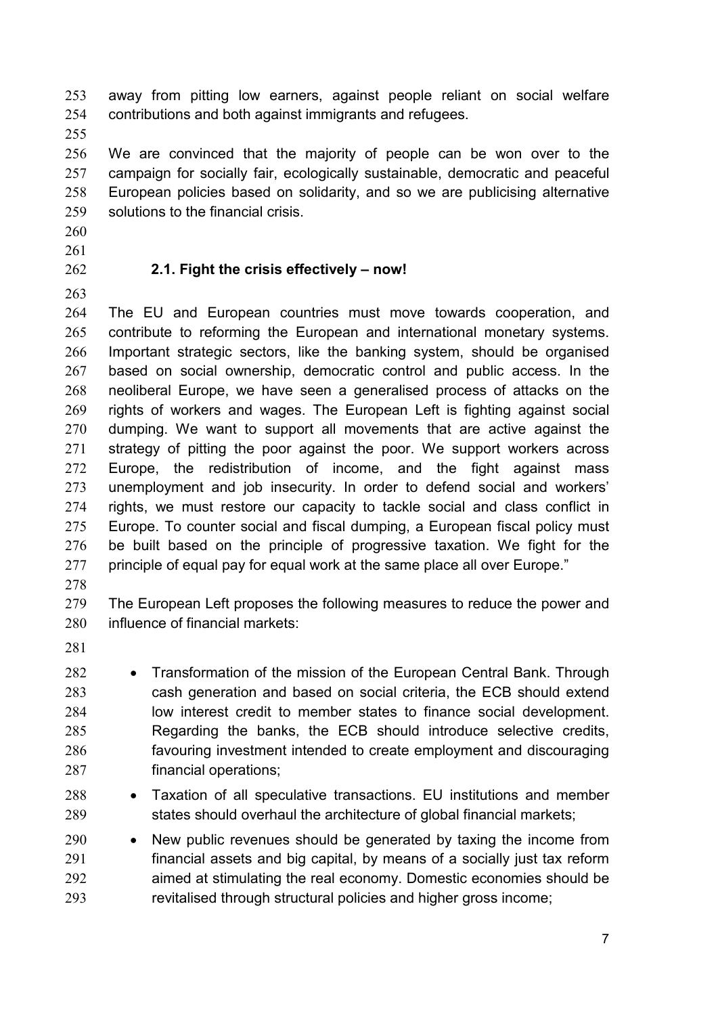away from pitting low earners, against people reliant on social welfare contributions and both against immigrants and refugees.

We are convinced that the majority of people can be won over to the campaign for socially fair, ecologically sustainable, democratic and peaceful European policies based on solidarity, and so we are publicising alternative solutions to the financial crisis.

- 
- 
- 

## **2.1. Fight the crisis effectively – now!**

The EU and European countries must move towards cooperation, and contribute to reforming the European and international monetary systems. Important strategic sectors, like the banking system, should be organised based on social ownership, democratic control and public access. In the neoliberal Europe, we have seen a generalised process of attacks on the rights of workers and wages. The European Left is fighting against social dumping. We want to support all movements that are active against the strategy of pitting the poor against the poor. We support workers across 272 Europe, the redistribution of income, and the fight against mass unemployment and job insecurity. In order to defend social and workers' rights, we must restore our capacity to tackle social and class conflict in Europe. To counter social and fiscal dumping, a European fiscal policy must be built based on the principle of progressive taxation. We fight for the 277 principle of equal pay for equal work at the same place all over Europe."

The European Left proposes the following measures to reduce the power and influence of financial markets:

• Transformation of the mission of the European Central Bank. Through cash generation and based on social criteria, the ECB should extend low interest credit to member states to finance social development. Regarding the banks, the ECB should introduce selective credits, favouring investment intended to create employment and discouraging financial operations;

• Taxation of all speculative transactions. EU institutions and member states should overhaul the architecture of global financial markets;

• New public revenues should be generated by taxing the income from financial assets and big capital, by means of a socially just tax reform aimed at stimulating the real economy. Domestic economies should be revitalised through structural policies and higher gross income;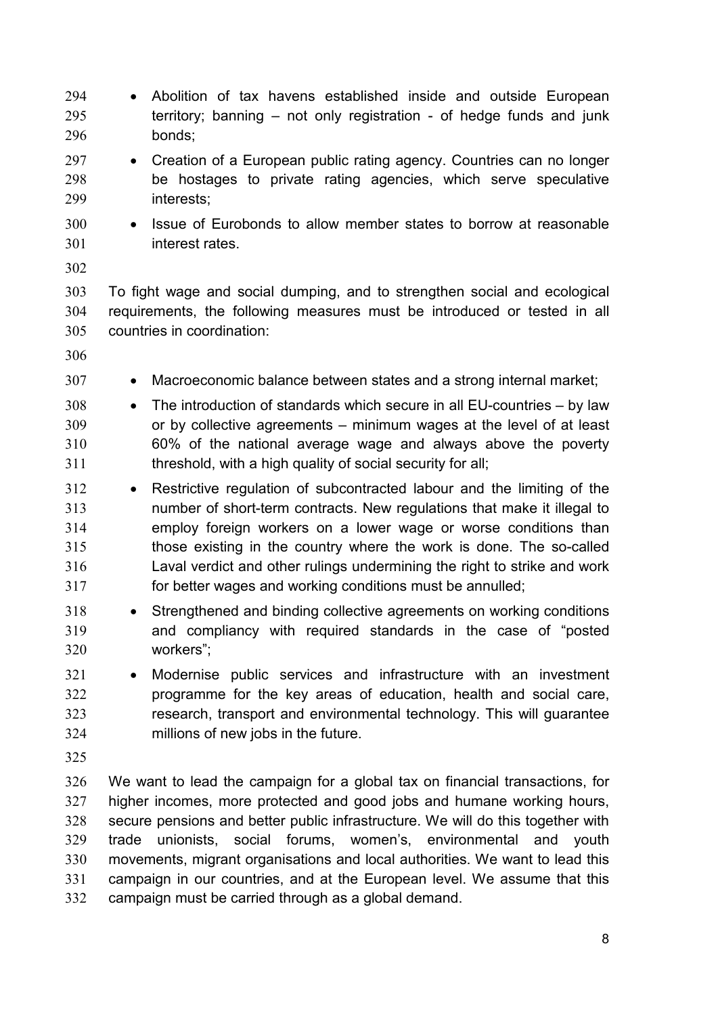- Abolition of tax havens established inside and outside European territory; banning – not only registration - of hedge funds and junk bonds; • Creation of a European public rating agency. Countries can no longer be hostages to private rating agencies, which serve speculative interests; • Issue of Eurobonds to allow member states to borrow at reasonable interest rates. To fight wage and social dumping, and to strengthen social and ecological requirements, the following measures must be introduced or tested in all countries in coordination: 307 • Macroeconomic balance between states and a strong internal market; • The introduction of standards which secure in all EU-countries – by law or by collective agreements – minimum wages at the level of at least 60% of the national average wage and always above the poverty threshold, with a high quality of social security for all; • Restrictive regulation of subcontracted labour and the limiting of the
- number of short-term contracts. New regulations that make it illegal to employ foreign workers on a lower wage or worse conditions than those existing in the country where the work is done. The so-called Laval verdict and other rulings undermining the right to strike and work for better wages and working conditions must be annulled;
- Strengthened and binding collective agreements on working conditions and compliancy with required standards in the case of "posted workers";
- Modernise public services and infrastructure with an investment programme for the key areas of education, health and social care, research, transport and environmental technology. This will guarantee millions of new jobs in the future.
- 

We want to lead the campaign for a global tax on financial transactions, for higher incomes, more protected and good jobs and humane working hours, secure pensions and better public infrastructure. We will do this together with trade unionists, social forums, women's, environmental and youth movements, migrant organisations and local authorities. We want to lead this campaign in our countries, and at the European level. We assume that this campaign must be carried through as a global demand.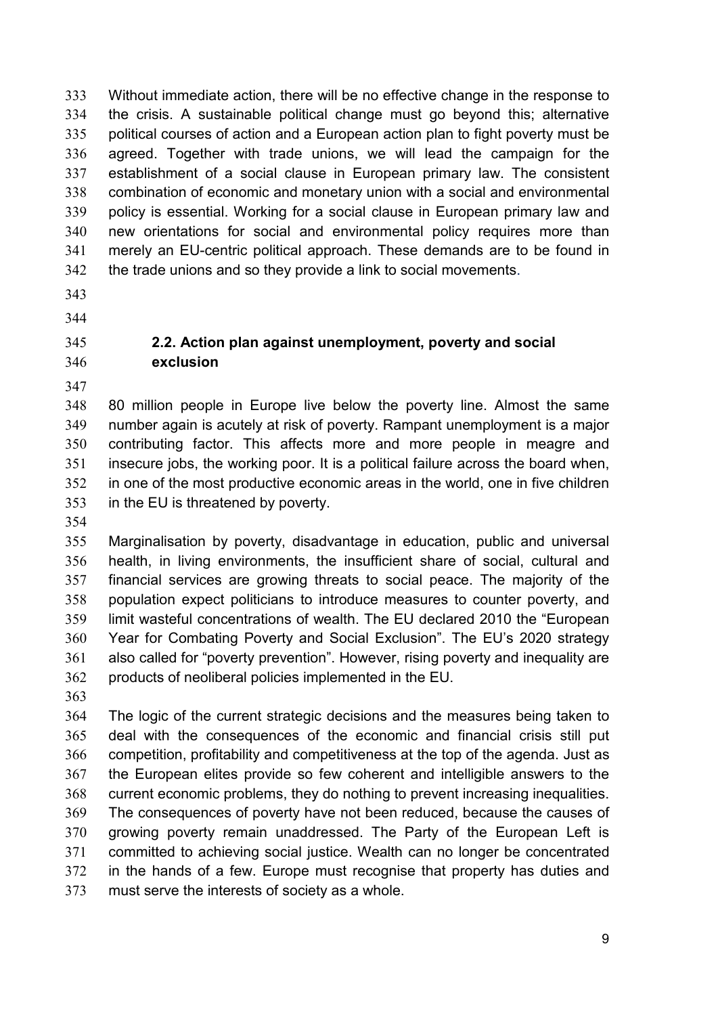Without immediate action, there will be no effective change in the response to the crisis. A sustainable political change must go beyond this; alternative political courses of action and a European action plan to fight poverty must be agreed. Together with trade unions, we will lead the campaign for the establishment of a social clause in European primary law. The consistent combination of economic and monetary union with a social and environmental policy is essential. Working for a social clause in European primary law and new orientations for social and environmental policy requires more than merely an EU-centric political approach. These demands are to be found in the trade unions and so they provide a link to social movements.

- 
- 

### **2.2. Action plan against unemployment, poverty and social exclusion**

80 million people in Europe live below the poverty line. Almost the same number again is acutely at risk of poverty. Rampant unemployment is a major contributing factor. This affects more and more people in meagre and insecure jobs, the working poor. It is a political failure across the board when, in one of the most productive economic areas in the world, one in five children in the EU is threatened by poverty.

Marginalisation by poverty, disadvantage in education, public and universal health, in living environments, the insufficient share of social, cultural and financial services are growing threats to social peace. The majority of the population expect politicians to introduce measures to counter poverty, and limit wasteful concentrations of wealth. The EU declared 2010 the "European Year for Combating Poverty and Social Exclusion". The EU's 2020 strategy also called for "poverty prevention". However, rising poverty and inequality are products of neoliberal policies implemented in the EU.

The logic of the current strategic decisions and the measures being taken to deal with the consequences of the economic and financial crisis still put competition, profitability and competitiveness at the top of the agenda. Just as the European elites provide so few coherent and intelligible answers to the current economic problems, they do nothing to prevent increasing inequalities. The consequences of poverty have not been reduced, because the causes of growing poverty remain unaddressed. The Party of the European Left is committed to achieving social justice. Wealth can no longer be concentrated in the hands of a few. Europe must recognise that property has duties and must serve the interests of society as a whole.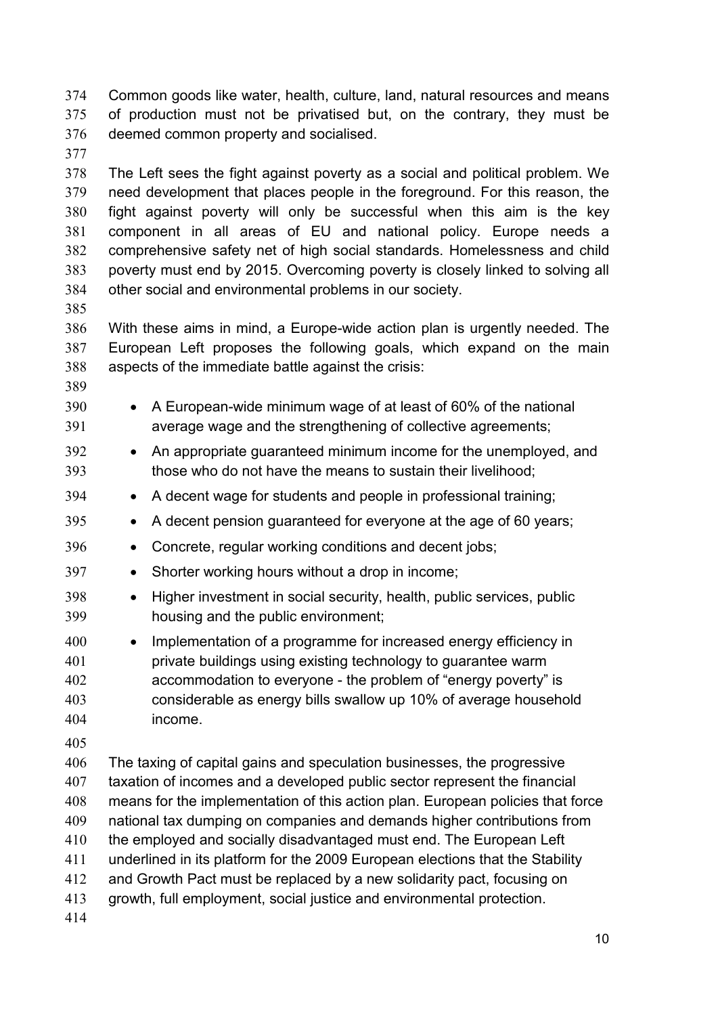Common goods like water, health, culture, land, natural resources and means of production must not be privatised but, on the contrary, they must be deemed common property and socialised.

The Left sees the fight against poverty as a social and political problem. We need development that places people in the foreground. For this reason, the fight against poverty will only be successful when this aim is the key component in all areas of EU and national policy. Europe needs a comprehensive safety net of high social standards. Homelessness and child poverty must end by 2015. Overcoming poverty is closely linked to solving all other social and environmental problems in our society.

With these aims in mind, a Europe-wide action plan is urgently needed. The European Left proposes the following goals, which expand on the main aspects of the immediate battle against the crisis:

- 
- A European-wide minimum wage of at least of 60% of the national average wage and the strengthening of collective agreements;
- An appropriate guaranteed minimum income for the unemployed, and those who do not have the means to sustain their livelihood;
- A decent wage for students and people in professional training;
- A decent pension guaranteed for everyone at the age of 60 years;
- Concrete, regular working conditions and decent jobs;
- Shorter working hours without a drop in income;
- Higher investment in social security, health, public services, public housing and the public environment;
- Implementation of a programme for increased energy efficiency in private buildings using existing technology to guarantee warm accommodation to everyone - the problem of "energy poverty" is considerable as energy bills swallow up 10% of average household income.
- 

The taxing of capital gains and speculation businesses, the progressive taxation of incomes and a developed public sector represent the financial means for the implementation of this action plan. European policies that force national tax dumping on companies and demands higher contributions from the employed and socially disadvantaged must end. The European Left underlined in its platform for the 2009 European elections that the Stability and Growth Pact must be replaced by a new solidarity pact, focusing on growth, full employment, social justice and environmental protection.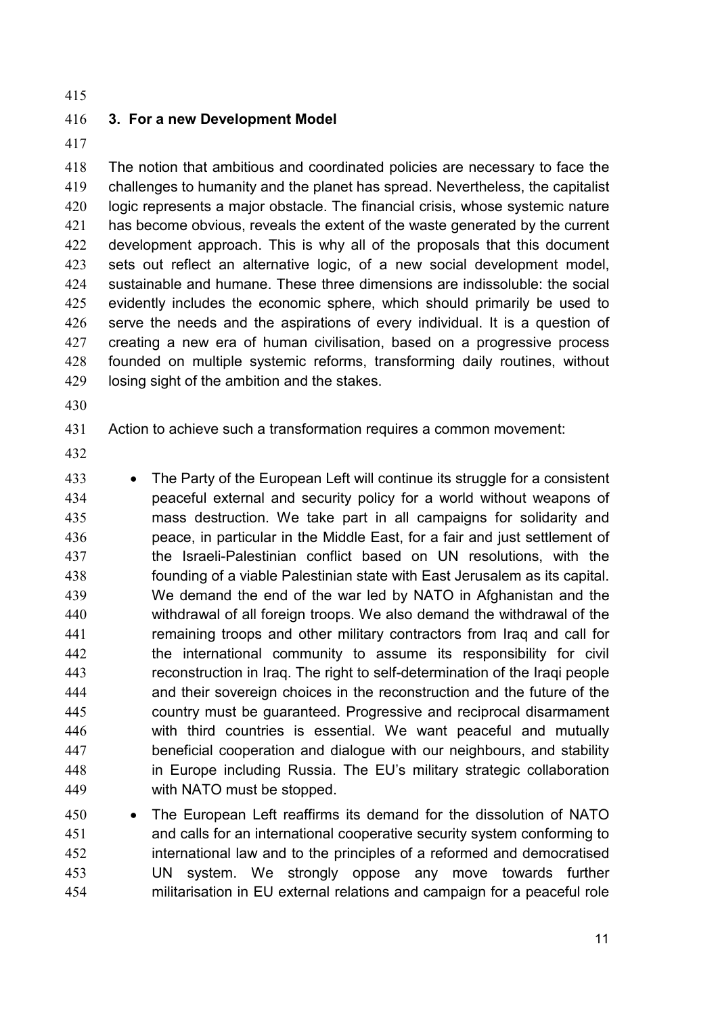## **3. For a new Development Model**

The notion that ambitious and coordinated policies are necessary to face the challenges to humanity and the planet has spread. Nevertheless, the capitalist logic represents a major obstacle. The financial crisis, whose systemic nature has become obvious, reveals the extent of the waste generated by the current development approach. This is why all of the proposals that this document sets out reflect an alternative logic, of a new social development model, sustainable and humane. These three dimensions are indissoluble: the social evidently includes the economic sphere, which should primarily be used to serve the needs and the aspirations of every individual. It is a question of creating a new era of human civilisation, based on a progressive process founded on multiple systemic reforms, transforming daily routines, without losing sight of the ambition and the stakes.

Action to achieve such a transformation requires a common movement:

• The Party of the European Left will continue its struggle for a consistent peaceful external and security policy for a world without weapons of mass destruction. We take part in all campaigns for solidarity and peace, in particular in the Middle East, for a fair and just settlement of the Israeli-Palestinian conflict based on UN resolutions, with the founding of a viable Palestinian state with East Jerusalem as its capital. We demand the end of the war led by NATO in Afghanistan and the withdrawal of all foreign troops. We also demand the withdrawal of the remaining troops and other military contractors from Iraq and call for the international community to assume its responsibility for civil reconstruction in Iraq. The right to self-determination of the Iraqi people and their sovereign choices in the reconstruction and the future of the country must be guaranteed. Progressive and reciprocal disarmament with third countries is essential. We want peaceful and mutually beneficial cooperation and dialogue with our neighbours, and stability in Europe including Russia. The EU's military strategic collaboration with NATO must be stopped.

• The European Left reaffirms its demand for the dissolution of NATO and calls for an international cooperative security system conforming to international law and to the principles of a reformed and democratised UN system. We strongly oppose any move towards further militarisation in EU external relations and campaign for a peaceful role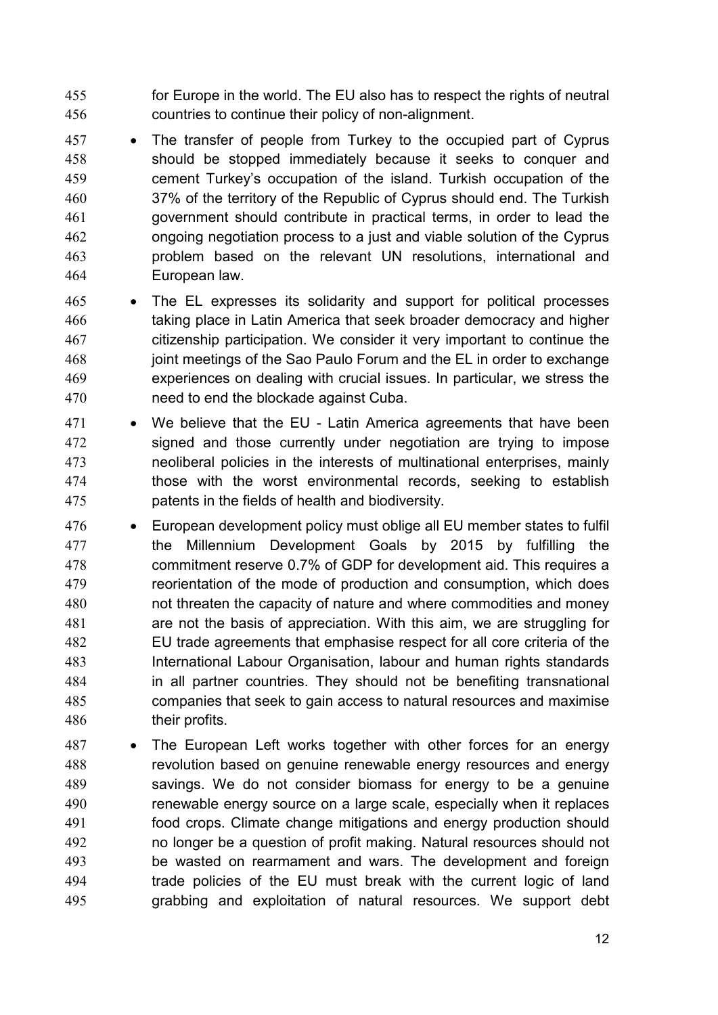- for Europe in the world. The EU also has to respect the rights of neutral countries to continue their policy of non-alignment.
- The transfer of people from Turkey to the occupied part of Cyprus should be stopped immediately because it seeks to conquer and cement Turkey's occupation of the island. Turkish occupation of the 37% of the territory of the Republic of Cyprus should end. The Turkish government should contribute in practical terms, in order to lead the ongoing negotiation process to a just and viable solution of the Cyprus problem based on the relevant UN resolutions, international and European law.
- The EL expresses its solidarity and support for political processes taking place in Latin America that seek broader democracy and higher citizenship participation. We consider it very important to continue the joint meetings of the Sao Paulo Forum and the EL in order to exchange experiences on dealing with crucial issues. In particular, we stress the need to end the blockade against Cuba.
- We believe that the EU Latin America agreements that have been signed and those currently under negotiation are trying to impose neoliberal policies in the interests of multinational enterprises, mainly those with the worst environmental records, seeking to establish patents in the fields of health and biodiversity.
- European development policy must oblige all EU member states to fulfil the Millennium Development Goals by 2015 by fulfilling the commitment reserve 0.7% of GDP for development aid. This requires a reorientation of the mode of production and consumption, which does not threaten the capacity of nature and where commodities and money are not the basis of appreciation. With this aim, we are struggling for EU trade agreements that emphasise respect for all core criteria of the International Labour Organisation, labour and human rights standards in all partner countries. They should not be benefiting transnational companies that seek to gain access to natural resources and maximise their profits.
- The European Left works together with other forces for an energy revolution based on genuine renewable energy resources and energy savings. We do not consider biomass for energy to be a genuine renewable energy source on a large scale, especially when it replaces food crops. Climate change mitigations and energy production should no longer be a question of profit making. Natural resources should not be wasted on rearmament and wars. The development and foreign trade policies of the EU must break with the current logic of land grabbing and exploitation of natural resources. We support debt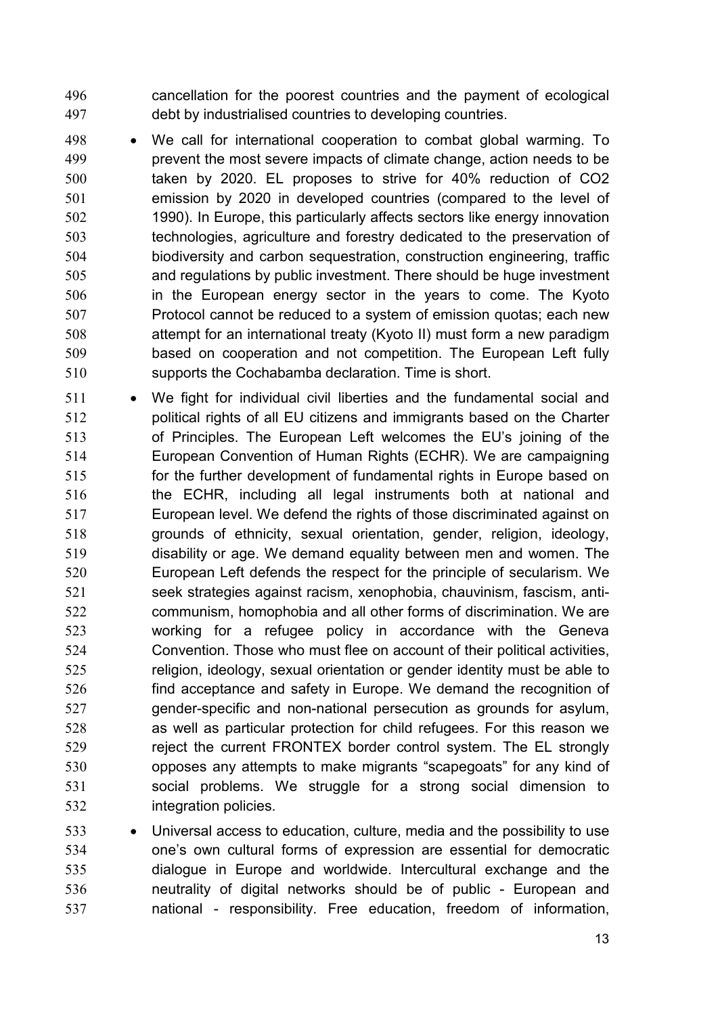cancellation for the poorest countries and the payment of ecological debt by industrialised countries to developing countries.

• We call for international cooperation to combat global warming. To prevent the most severe impacts of climate change, action needs to be taken by 2020. EL proposes to strive for 40% reduction of CO2 emission by 2020 in developed countries (compared to the level of 1990). In Europe, this particularly affects sectors like energy innovation technologies, agriculture and forestry dedicated to the preservation of biodiversity and carbon sequestration, construction engineering, traffic and regulations by public investment. There should be huge investment in the European energy sector in the years to come. The Kyoto Protocol cannot be reduced to a system of emission quotas; each new attempt for an international treaty (Kyoto II) must form a new paradigm based on cooperation and not competition. The European Left fully supports the Cochabamba declaration. Time is short.

- 511 We fight for individual civil liberties and the fundamental social and political rights of all EU citizens and immigrants based on the Charter of Principles. The European Left welcomes the EU's joining of the European Convention of Human Rights (ECHR). We are campaigning for the further development of fundamental rights in Europe based on the ECHR, including all legal instruments both at national and European level. We defend the rights of those discriminated against on grounds of ethnicity, sexual orientation, gender, religion, ideology, disability or age. We demand equality between men and women. The European Left defends the respect for the principle of secularism. We seek strategies against racism, xenophobia, chauvinism, fascism, anti-communism, homophobia and all other forms of discrimination. We are working for a refugee policy in accordance with the Geneva Convention. Those who must flee on account of their political activities, religion, ideology, sexual orientation or gender identity must be able to find acceptance and safety in Europe. We demand the recognition of gender-specific and non-national persecution as grounds for asylum, as well as particular protection for child refugees. For this reason we reject the current FRONTEX border control system. The EL strongly opposes any attempts to make migrants "scapegoats" for any kind of social problems. We struggle for a strong social dimension to integration policies.
- Universal access to education, culture, media and the possibility to use one's own cultural forms of expression are essential for democratic dialogue in Europe and worldwide. Intercultural exchange and the neutrality of digital networks should be of public - European and national - responsibility. Free education, freedom of information,